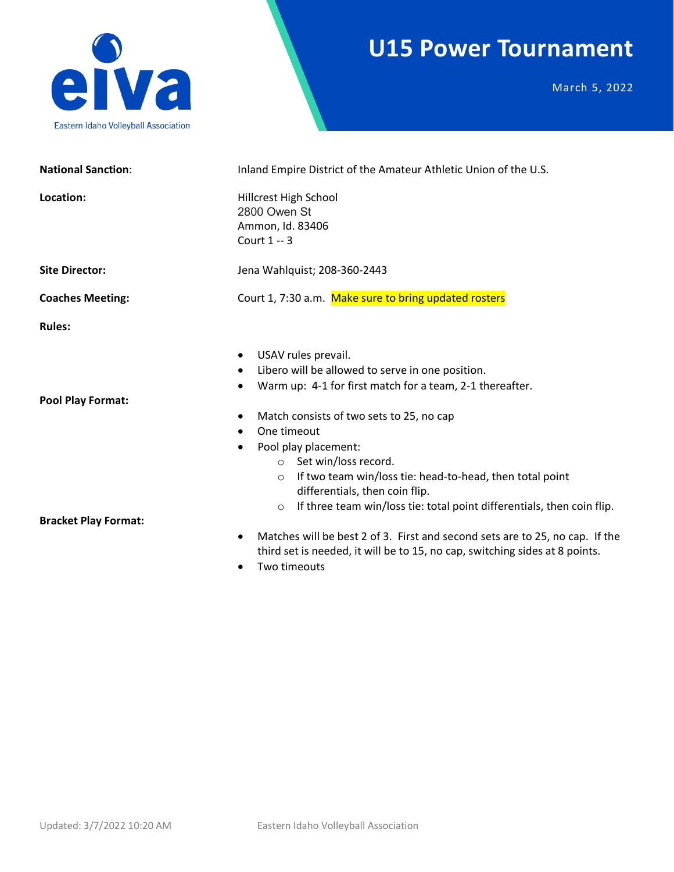

### **U15 Power Tournament**

March 5, 2022

| <b>National Sanction:</b>   | Inland Empire District of the Amateur Athletic Union of the U.S.                                                                                                                                                                                                                                                                                                                       |  |  |
|-----------------------------|----------------------------------------------------------------------------------------------------------------------------------------------------------------------------------------------------------------------------------------------------------------------------------------------------------------------------------------------------------------------------------------|--|--|
| Location:                   | Hillcrest High School<br>2800 Owen St<br>Ammon, Id. 83406<br>Court 1 -- 3                                                                                                                                                                                                                                                                                                              |  |  |
| <b>Site Director:</b>       | Jena Wahlquist; 208-360-2443                                                                                                                                                                                                                                                                                                                                                           |  |  |
| <b>Coaches Meeting:</b>     | Court 1, 7:30 a.m. Make sure to bring updated rosters                                                                                                                                                                                                                                                                                                                                  |  |  |
| <b>Rules:</b>               |                                                                                                                                                                                                                                                                                                                                                                                        |  |  |
| <b>Pool Play Format:</b>    | USAV rules prevail.<br>$\bullet$<br>Libero will be allowed to serve in one position.<br>$\bullet$<br>Warm up: 4-1 for first match for a team, 2-1 thereafter.<br>Match consists of two sets to 25, no cap<br>٠<br>One timeout<br>$\bullet$<br>Pool play placement:<br>$\bullet$<br>○ Set win/loss record.                                                                              |  |  |
| <b>Bracket Play Format:</b> | If two team win/loss tie: head-to-head, then total point<br>$\circ$<br>differentials, then coin flip.<br>If three team win/loss tie: total point differentials, then coin flip.<br>$\circ$<br>Matches will be best 2 of 3. First and second sets are to 25, no cap. If the<br>$\bullet$<br>third set is needed, it will be to 15, no cap, switching sides at 8 points.<br>Two timeouts |  |  |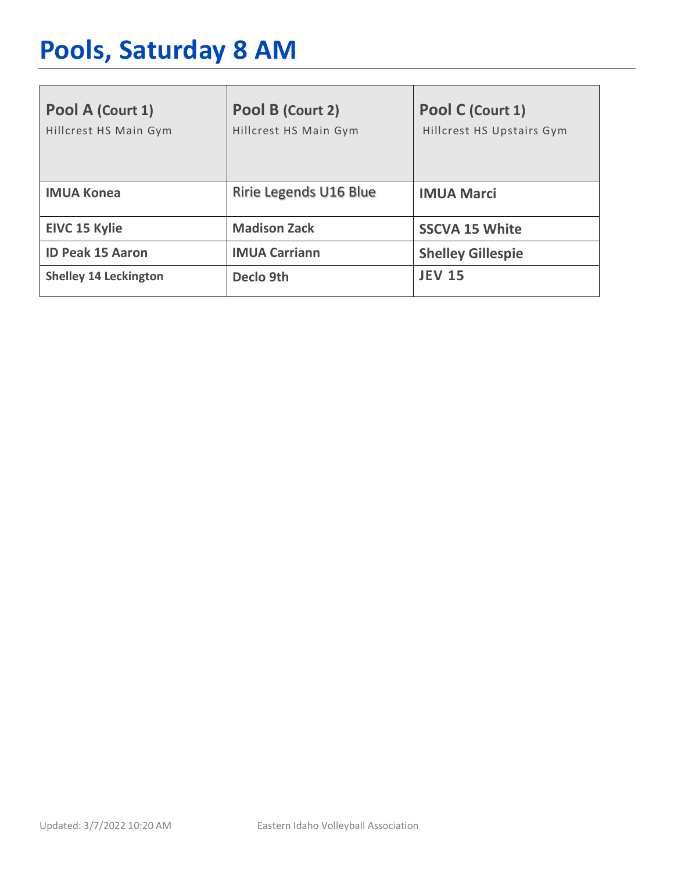# **Pools, Saturday 8 AM**

| Pool A (Court 1)<br>Hillcrest HS Main Gym | Pool B (Court 2)<br>Hillcrest HS Main Gym | Pool C (Court 1)<br>Hillcrest HS Upstairs Gym |
|-------------------------------------------|-------------------------------------------|-----------------------------------------------|
| <b>IMUA Konea</b>                         | Ririe Legends U16 Blue                    | <b>IMUA Marci</b>                             |
| <b>EIVC 15 Kylie</b>                      | <b>Madison Zack</b>                       | <b>SSCVA 15 White</b>                         |
| <b>ID Peak 15 Aaron</b>                   | <b>IMUA Carriann</b>                      | <b>Shelley Gillespie</b>                      |
| <b>Shelley 14 Leckington</b>              | Declo 9th                                 | <b>JEV 15</b>                                 |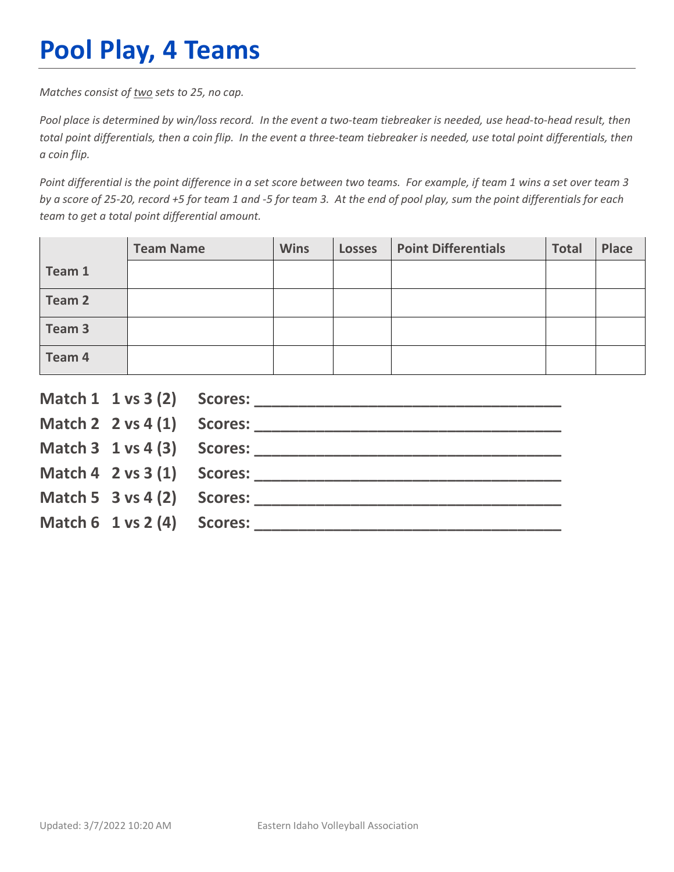## **Pool Play, 4 Teams**

*Matches consist of two sets to 25, no cap.*

*Pool place is determined by win/loss record. In the event a two-team tiebreaker is needed, use head-to-head result, then total point differentials, then a coin flip. In the event a three-team tiebreaker is needed, use total point differentials, then a coin flip.*

*Point differential is the point difference in a set score between two teams. For example, if team 1 wins a set over team 3 by a score of 25-20, record +5 for team 1 and -5 for team 3. At the end of pool play, sum the point differentials for each team to get a total point differential amount.* 

|        | <b>Team Name</b> | <b>Wins</b> | <b>Losses</b> | <b>Point Differentials</b> | <b>Total</b> | Place |
|--------|------------------|-------------|---------------|----------------------------|--------------|-------|
| Team 1 |                  |             |               |                            |              |       |
| Team 2 |                  |             |               |                            |              |       |
| Team 3 |                  |             |               |                            |              |       |
| Team 4 |                  |             |               |                            |              |       |

|                                        | Match $2 \times 4(1)$ Scores:              |
|----------------------------------------|--------------------------------------------|
|                                        |                                            |
|                                        | Match $4 \quad 2 \text{ vs } 3(1)$ Scores: |
| Match 5 $3$ vs 4 (2) Scores:           |                                            |
| Match $6 \t1 \text{ vs } 2(4)$ Scores: |                                            |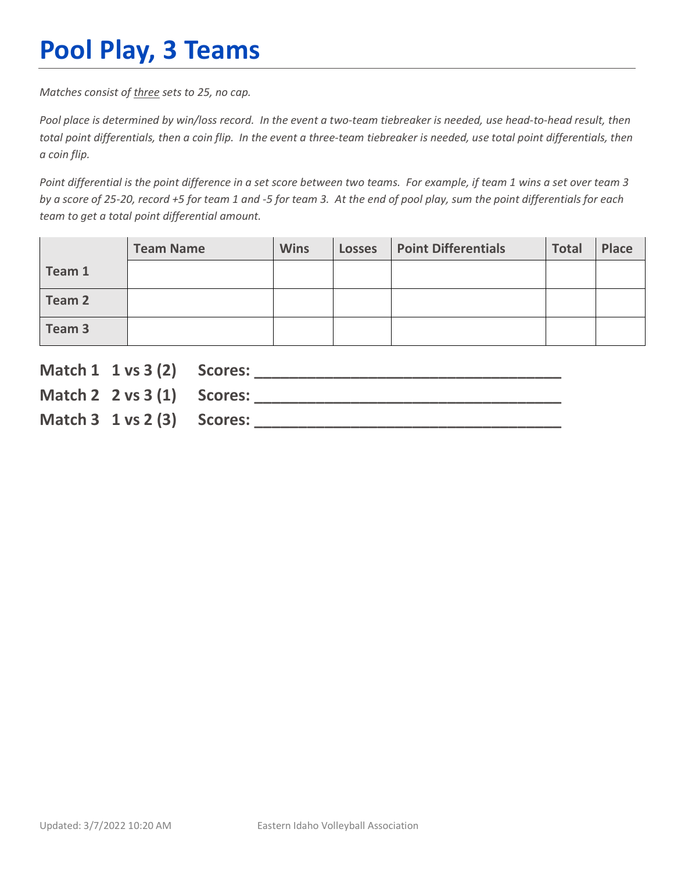## **Pool Play, 3 Teams**

*Matches consist of three sets to 25, no cap.*

*Pool place is determined by win/loss record. In the event a two-team tiebreaker is needed, use head-to-head result, then total point differentials, then a coin flip. In the event a three-team tiebreaker is needed, use total point differentials, then a coin flip.*

*Point differential is the point difference in a set score between two teams. For example, if team 1 wins a set over team 3 by a score of 25-20, record +5 for team 1 and -5 for team 3. At the end of pool play, sum the point differentials for each team to get a total point differential amount.* 

|        | <b>Team Name</b> | <b>Wins</b> | <b>Losses</b> | <b>Point Differentials</b> | <b>Total</b> | Place |
|--------|------------------|-------------|---------------|----------------------------|--------------|-------|
| Team 1 |                  |             |               |                            |              |       |
| Team 2 |                  |             |               |                            |              |       |
| Team 3 |                  |             |               |                            |              |       |

| Match 1 1 vs 3 (2) Scores:             |  |
|----------------------------------------|--|
| Match 2 $2 \text{ vs } 3(1)$ Scores:   |  |
| Match $3 \t1 \text{ vs } 2(3)$ Scores: |  |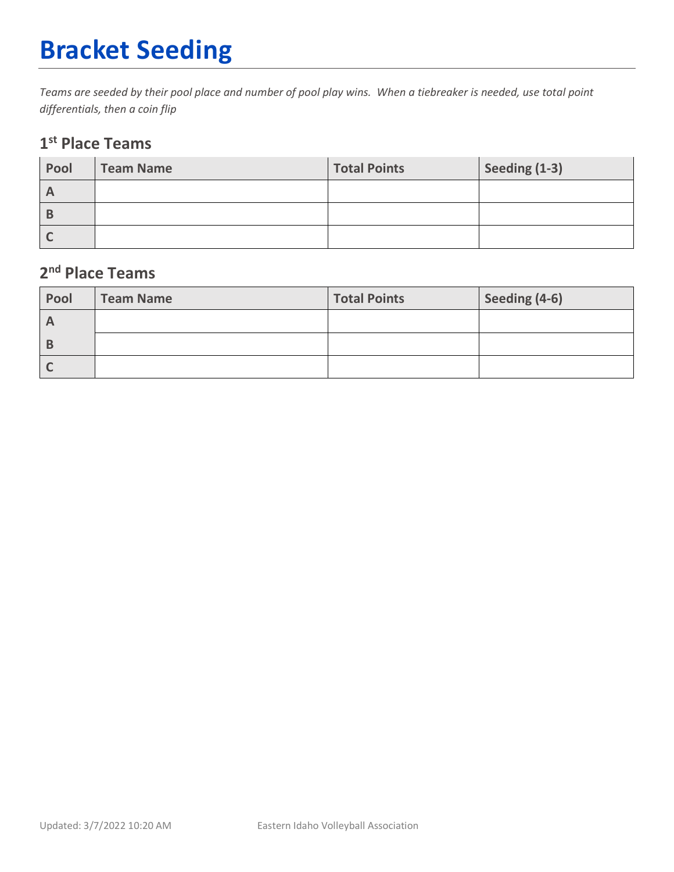# **Bracket Seeding**

*Teams are seeded by their pool place and number of pool play wins. When a tiebreaker is needed, use total point differentials, then a coin flip*

#### **1st Place Teams**

| Pool | <b>Team Name</b> | <b>Total Points</b> | Seeding (1-3) |
|------|------------------|---------------------|---------------|
| n    |                  |                     |               |
|      |                  |                     |               |
|      |                  |                     |               |

#### **2nd Place Teams**

| Pool         | Team Name | <b>Total Points</b> | Seeding (4-6) |
|--------------|-----------|---------------------|---------------|
| $\mathsf{H}$ |           |                     |               |
| В            |           |                     |               |
|              |           |                     |               |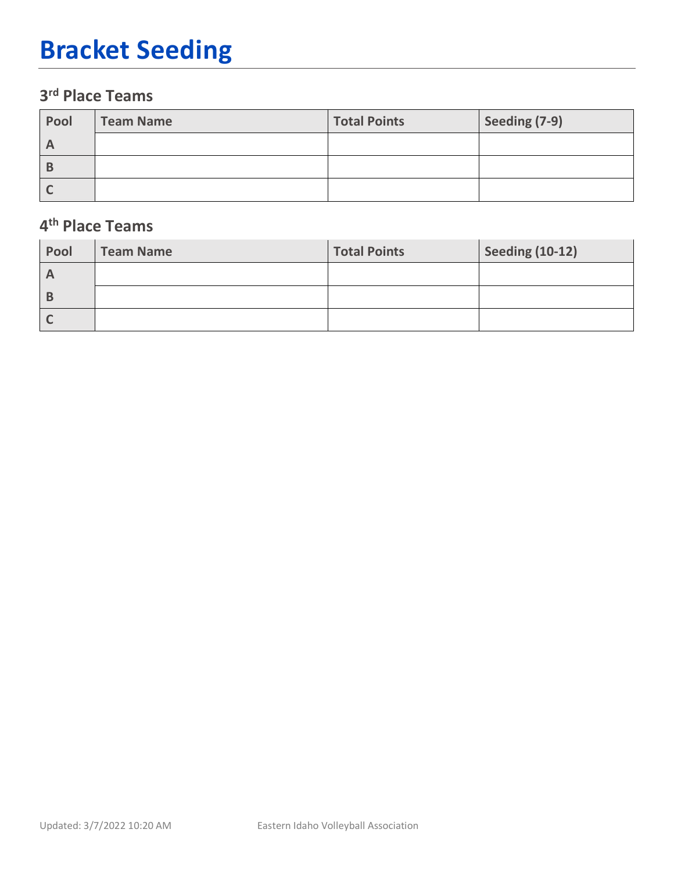## **Bracket Seeding**

#### **3rd Place Teams**

| Pool | Team Name | <b>Total Points</b> | Seeding (7-9) |
|------|-----------|---------------------|---------------|
|      |           |                     |               |
|      |           |                     |               |
|      |           |                     |               |

#### **4th Place Teams**

| Pool         | <b>Team Name</b> | <b>Total Points</b> | <b>Seeding (10-12)</b> |
|--------------|------------------|---------------------|------------------------|
| $\mathsf{A}$ |                  |                     |                        |
| B            |                  |                     |                        |
|              |                  |                     |                        |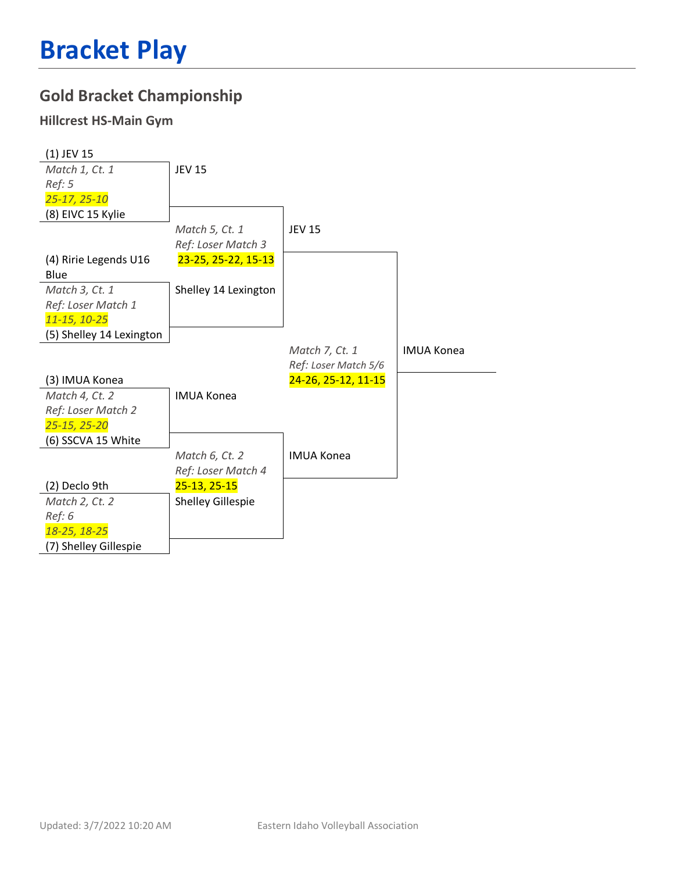### **Gold Bracket Championship**

#### **Hillcrest HS-Main Gym**

| $(1)$ JEV 15             |                          |                      |                   |
|--------------------------|--------------------------|----------------------|-------------------|
| Match 1, Ct. 1           | <b>JEV 15</b>            |                      |                   |
| Ref: 5                   |                          |                      |                   |
| 25-17, 25-10             |                          |                      |                   |
| (8) EIVC 15 Kylie        |                          |                      |                   |
|                          | Match 5, Ct. 1           | <b>JEV 15</b>        |                   |
|                          | Ref: Loser Match 3       |                      |                   |
| (4) Ririe Legends U16    | 23-25, 25-22, 15-13      |                      |                   |
| Blue                     |                          |                      |                   |
| Match 3, Ct. 1           | Shelley 14 Lexington     |                      |                   |
| Ref: Loser Match 1       |                          |                      |                   |
| 11-15, 10-25             |                          |                      |                   |
| (5) Shelley 14 Lexington |                          |                      |                   |
|                          |                          | Match 7, Ct. 1       | <b>IMUA Konea</b> |
|                          |                          | Ref: Loser Match 5/6 |                   |
| (3) IMUA Konea           |                          | 24-26, 25-12, 11-15  |                   |
| Match 4, Ct. 2           | <b>IMUA Konea</b>        |                      |                   |
| Ref: Loser Match 2       |                          |                      |                   |
| 25-15, 25-20             |                          |                      |                   |
| (6) SSCVA 15 White       |                          |                      |                   |
|                          | Match 6, Ct. 2           | <b>IMUA Konea</b>    |                   |
|                          | Ref: Loser Match 4       |                      |                   |
| (2) Declo 9th            | 25-13, 25-15             |                      |                   |
| Match 2, Ct. 2           | <b>Shelley Gillespie</b> |                      |                   |
| Ref: 6                   |                          |                      |                   |
| 18-25, 18-25             |                          |                      |                   |
|                          |                          |                      |                   |